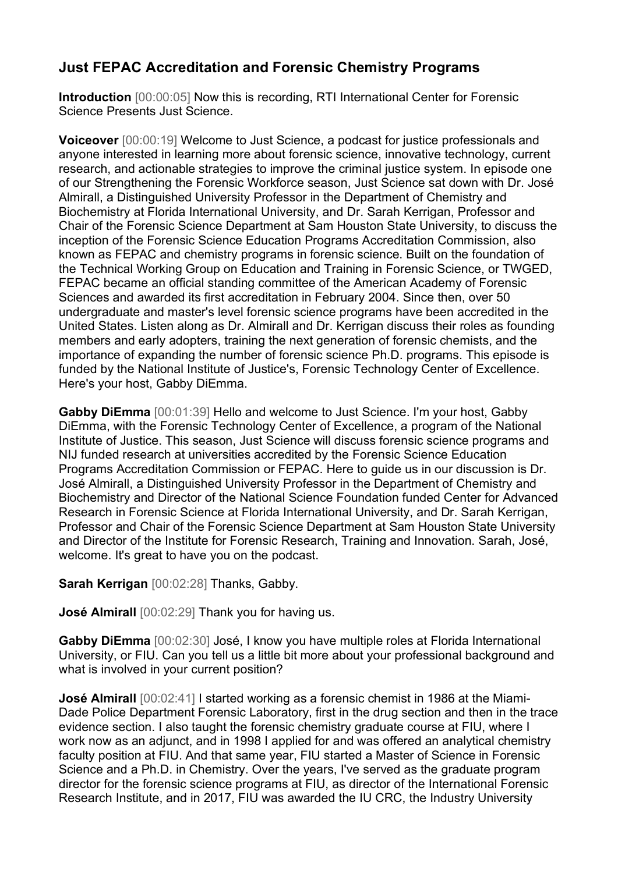## **Just FEPAC Accreditation and Forensic Chemistry Programs**

**Introduction** [00:00:05] Now this is recording, RTI International Center for Forensic Science Presents Just Science.

**Voiceover** [00:00:19] Welcome to Just Science, a podcast for justice professionals and anyone interested in learning more about forensic science, innovative technology, current research, and actionable strategies to improve the criminal justice system. In episode one of our Strengthening the Forensic Workforce season, Just Science sat down with Dr. José Almirall, a Distinguished University Professor in the Department of Chemistry and Biochemistry at Florida International University, and Dr. Sarah Kerrigan, Professor and Chair of the Forensic Science Department at Sam Houston State University, to discuss the inception of the Forensic Science Education Programs Accreditation Commission, also known as FEPAC and chemistry programs in forensic science. Built on the foundation of the Technical Working Group on Education and Training in Forensic Science, or TWGED, FEPAC became an official standing committee of the American Academy of Forensic Sciences and awarded its first accreditation in February 2004. Since then, over 50 undergraduate and master's level forensic science programs have been accredited in the United States. Listen along as Dr. Almirall and Dr. Kerrigan discuss their roles as founding members and early adopters, training the next generation of forensic chemists, and the importance of expanding the number of forensic science Ph.D. programs. This episode is funded by the National Institute of Justice's, Forensic Technology Center of Excellence. Here's your host, Gabby DiEmma.

**Gabby DiEmma** [00:01:39] Hello and welcome to Just Science. I'm your host, Gabby DiEmma, with the Forensic Technology Center of Excellence, a program of the National Institute of Justice. This season, Just Science will discuss forensic science programs and NIJ funded research at universities accredited by the Forensic Science Education Programs Accreditation Commission or FEPAC. Here to guide us in our discussion is Dr. José Almirall, a Distinguished University Professor in the Department of Chemistry and Biochemistry and Director of the National Science Foundation funded Center for Advanced Research in Forensic Science at Florida International University, and Dr. Sarah Kerrigan, Professor and Chair of the Forensic Science Department at Sam Houston State University and Director of the Institute for Forensic Research, Training and Innovation. Sarah, José, welcome. It's great to have you on the podcast.

## **Sarah Kerrigan** [00:02:28] Thanks, Gabby.

**José Almirall** [00:02:29] Thank you for having us.

**Gabby DiEmma** [00:02:30] José, I know you have multiple roles at Florida International University, or FIU. Can you tell us a little bit more about your professional background and what is involved in your current position?

**José Almirall** [00:02:41] I started working as a forensic chemist in 1986 at the Miami-Dade Police Department Forensic Laboratory, first in the drug section and then in the trace evidence section. I also taught the forensic chemistry graduate course at FIU, where I work now as an adjunct, and in 1998 I applied for and was offered an analytical chemistry faculty position at FIU. And that same year, FIU started a Master of Science in Forensic Science and a Ph.D. in Chemistry. Over the years, I've served as the graduate program director for the forensic science programs at FIU, as director of the International Forensic Research Institute, and in 2017, FIU was awarded the IU CRC, the Industry University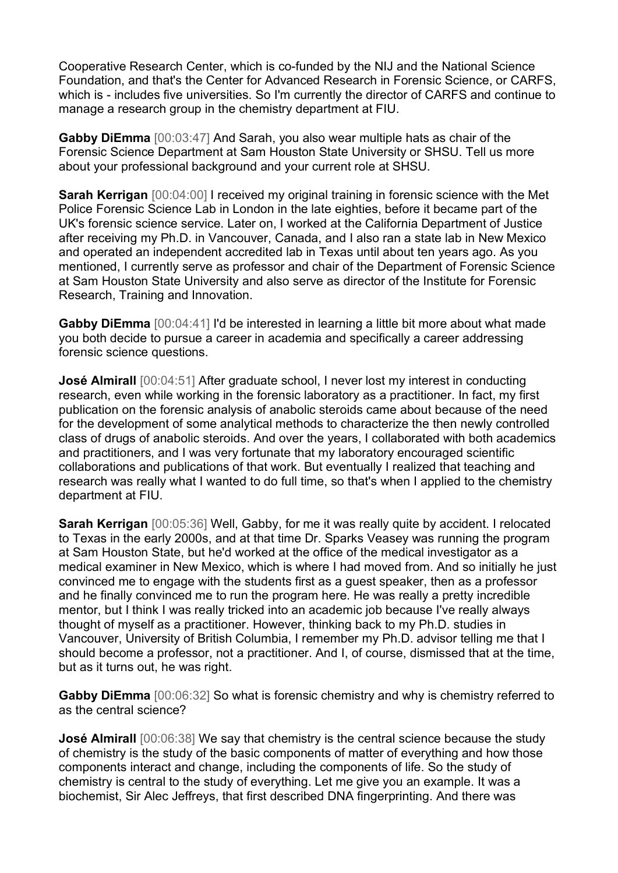Cooperative Research Center, which is co-funded by the NIJ and the National Science Foundation, and that's the Center for Advanced Research in Forensic Science, or CARFS, which is - includes five universities. So I'm currently the director of CARFS and continue to manage a research group in the chemistry department at FIU.

**Gabby DiEmma** [00:03:47] And Sarah, you also wear multiple hats as chair of the Forensic Science Department at Sam Houston State University or SHSU. Tell us more about your professional background and your current role at SHSU.

**Sarah Kerrigan** [00:04:00] I received my original training in forensic science with the Met Police Forensic Science Lab in London in the late eighties, before it became part of the UK's forensic science service. Later on, I worked at the California Department of Justice after receiving my Ph.D. in Vancouver, Canada, and I also ran a state lab in New Mexico and operated an independent accredited lab in Texas until about ten years ago. As you mentioned, I currently serve as professor and chair of the Department of Forensic Science at Sam Houston State University and also serve as director of the Institute for Forensic Research, Training and Innovation.

**Gabby DiEmma** [00:04:41] I'd be interested in learning a little bit more about what made you both decide to pursue a career in academia and specifically a career addressing forensic science questions.

**José Almirall** [00:04:51] After graduate school, I never lost my interest in conducting research, even while working in the forensic laboratory as a practitioner. In fact, my first publication on the forensic analysis of anabolic steroids came about because of the need for the development of some analytical methods to characterize the then newly controlled class of drugs of anabolic steroids. And over the years, I collaborated with both academics and practitioners, and I was very fortunate that my laboratory encouraged scientific collaborations and publications of that work. But eventually I realized that teaching and research was really what I wanted to do full time, so that's when I applied to the chemistry department at FIU.

**Sarah Kerrigan** [00:05:36] Well, Gabby, for me it was really quite by accident. I relocated to Texas in the early 2000s, and at that time Dr. Sparks Veasey was running the program at Sam Houston State, but he'd worked at the office of the medical investigator as a medical examiner in New Mexico, which is where I had moved from. And so initially he just convinced me to engage with the students first as a guest speaker, then as a professor and he finally convinced me to run the program here. He was really a pretty incredible mentor, but I think I was really tricked into an academic job because I've really always thought of myself as a practitioner. However, thinking back to my Ph.D. studies in Vancouver, University of British Columbia, I remember my Ph.D. advisor telling me that I should become a professor, not a practitioner. And I, of course, dismissed that at the time, but as it turns out, he was right.

**Gabby DiEmma** [00:06:32] So what is forensic chemistry and why is chemistry referred to as the central science?

**José Almirall** [00:06:38] We say that chemistry is the central science because the study of chemistry is the study of the basic components of matter of everything and how those components interact and change, including the components of life. So the study of chemistry is central to the study of everything. Let me give you an example. It was a biochemist, Sir Alec Jeffreys, that first described DNA fingerprinting. And there was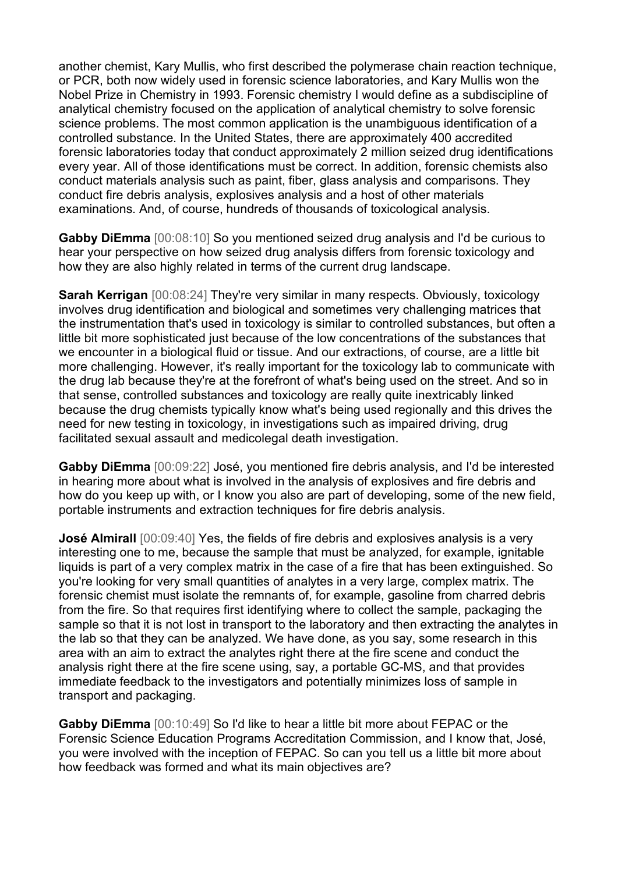another chemist, Kary Mullis, who first described the polymerase chain reaction technique, or PCR, both now widely used in forensic science laboratories, and Kary Mullis won the Nobel Prize in Chemistry in 1993. Forensic chemistry I would define as a subdiscipline of analytical chemistry focused on the application of analytical chemistry to solve forensic science problems. The most common application is the unambiguous identification of a controlled substance. In the United States, there are approximately 400 accredited forensic laboratories today that conduct approximately 2 million seized drug identifications every year. All of those identifications must be correct. In addition, forensic chemists also conduct materials analysis such as paint, fiber, glass analysis and comparisons. They conduct fire debris analysis, explosives analysis and a host of other materials examinations. And, of course, hundreds of thousands of toxicological analysis.

**Gabby DiEmma** [00:08:10] So you mentioned seized drug analysis and I'd be curious to hear your perspective on how seized drug analysis differs from forensic toxicology and how they are also highly related in terms of the current drug landscape.

**Sarah Kerrigan** [00:08:24] They're very similar in many respects. Obviously, toxicology involves drug identification and biological and sometimes very challenging matrices that the instrumentation that's used in toxicology is similar to controlled substances, but often a little bit more sophisticated just because of the low concentrations of the substances that we encounter in a biological fluid or tissue. And our extractions, of course, are a little bit more challenging. However, it's really important for the toxicology lab to communicate with the drug lab because they're at the forefront of what's being used on the street. And so in that sense, controlled substances and toxicology are really quite inextricably linked because the drug chemists typically know what's being used regionally and this drives the need for new testing in toxicology, in investigations such as impaired driving, drug facilitated sexual assault and medicolegal death investigation.

**Gabby DiEmma** [00:09:22] José, you mentioned fire debris analysis, and I'd be interested in hearing more about what is involved in the analysis of explosives and fire debris and how do you keep up with, or I know you also are part of developing, some of the new field, portable instruments and extraction techniques for fire debris analysis.

**José Almirall** [00:09:40] Yes, the fields of fire debris and explosives analysis is a very interesting one to me, because the sample that must be analyzed, for example, ignitable liquids is part of a very complex matrix in the case of a fire that has been extinguished. So you're looking for very small quantities of analytes in a very large, complex matrix. The forensic chemist must isolate the remnants of, for example, gasoline from charred debris from the fire. So that requires first identifying where to collect the sample, packaging the sample so that it is not lost in transport to the laboratory and then extracting the analytes in the lab so that they can be analyzed. We have done, as you say, some research in this area with an aim to extract the analytes right there at the fire scene and conduct the analysis right there at the fire scene using, say, a portable GC-MS, and that provides immediate feedback to the investigators and potentially minimizes loss of sample in transport and packaging.

**Gabby DiEmma** [00:10:49] So I'd like to hear a little bit more about FEPAC or the Forensic Science Education Programs Accreditation Commission, and I know that, José, you were involved with the inception of FEPAC. So can you tell us a little bit more about how feedback was formed and what its main objectives are?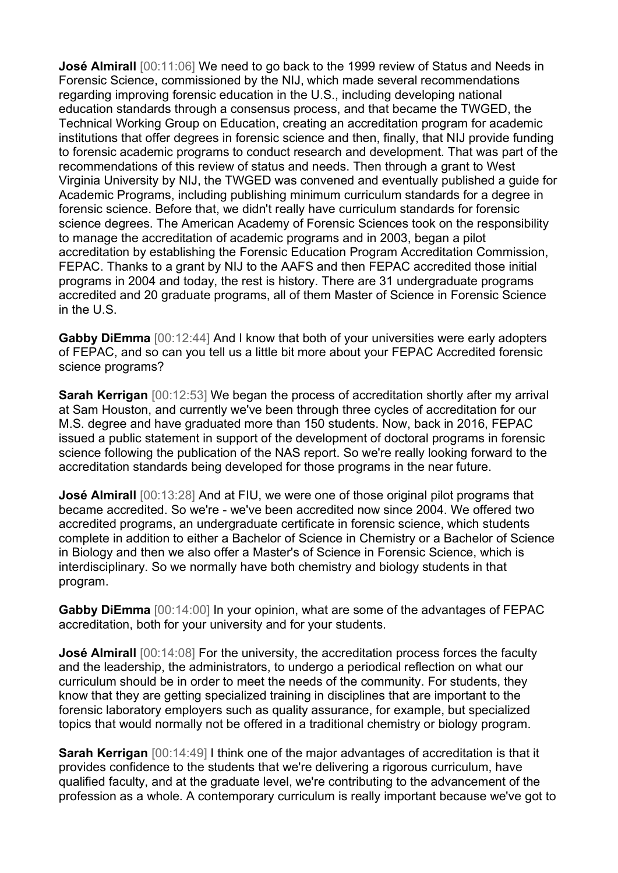**José Almirall** [00:11:06] We need to go back to the 1999 review of Status and Needs in Forensic Science, commissioned by the NIJ, which made several recommendations regarding improving forensic education in the U.S., including developing national education standards through a consensus process, and that became the TWGED, the Technical Working Group on Education, creating an accreditation program for academic institutions that offer degrees in forensic science and then, finally, that NIJ provide funding to forensic academic programs to conduct research and development. That was part of the recommendations of this review of status and needs. Then through a grant to West Virginia University by NIJ, the TWGED was convened and eventually published a guide for Academic Programs, including publishing minimum curriculum standards for a degree in forensic science. Before that, we didn't really have curriculum standards for forensic science degrees. The American Academy of Forensic Sciences took on the responsibility to manage the accreditation of academic programs and in 2003, began a pilot accreditation by establishing the Forensic Education Program Accreditation Commission, FEPAC. Thanks to a grant by NIJ to the AAFS and then FEPAC accredited those initial programs in 2004 and today, the rest is history. There are 31 undergraduate programs accredited and 20 graduate programs, all of them Master of Science in Forensic Science in the U.S.

**Gabby DiEmma** [00:12:44] And I know that both of your universities were early adopters of FEPAC, and so can you tell us a little bit more about your FEPAC Accredited forensic science programs?

**Sarah Kerrigan** [00:12:53] We began the process of accreditation shortly after my arrival at Sam Houston, and currently we've been through three cycles of accreditation for our M.S. degree and have graduated more than 150 students. Now, back in 2016, FEPAC issued a public statement in support of the development of doctoral programs in forensic science following the publication of the NAS report. So we're really looking forward to the accreditation standards being developed for those programs in the near future.

**José Almirall** [00:13:28] And at FIU, we were one of those original pilot programs that became accredited. So we're - we've been accredited now since 2004. We offered two accredited programs, an undergraduate certificate in forensic science, which students complete in addition to either a Bachelor of Science in Chemistry or a Bachelor of Science in Biology and then we also offer a Master's of Science in Forensic Science, which is interdisciplinary. So we normally have both chemistry and biology students in that program.

**Gabby DiEmma** [00:14:00] In your opinion, what are some of the advantages of FEPAC accreditation, both for your university and for your students.

**José Almirall** [00:14:08] For the university, the accreditation process forces the faculty and the leadership, the administrators, to undergo a periodical reflection on what our curriculum should be in order to meet the needs of the community. For students, they know that they are getting specialized training in disciplines that are important to the forensic laboratory employers such as quality assurance, for example, but specialized topics that would normally not be offered in a traditional chemistry or biology program.

**Sarah Kerrigan** [00:14:49] I think one of the major advantages of accreditation is that it provides confidence to the students that we're delivering a rigorous curriculum, have qualified faculty, and at the graduate level, we're contributing to the advancement of the profession as a whole. A contemporary curriculum is really important because we've got to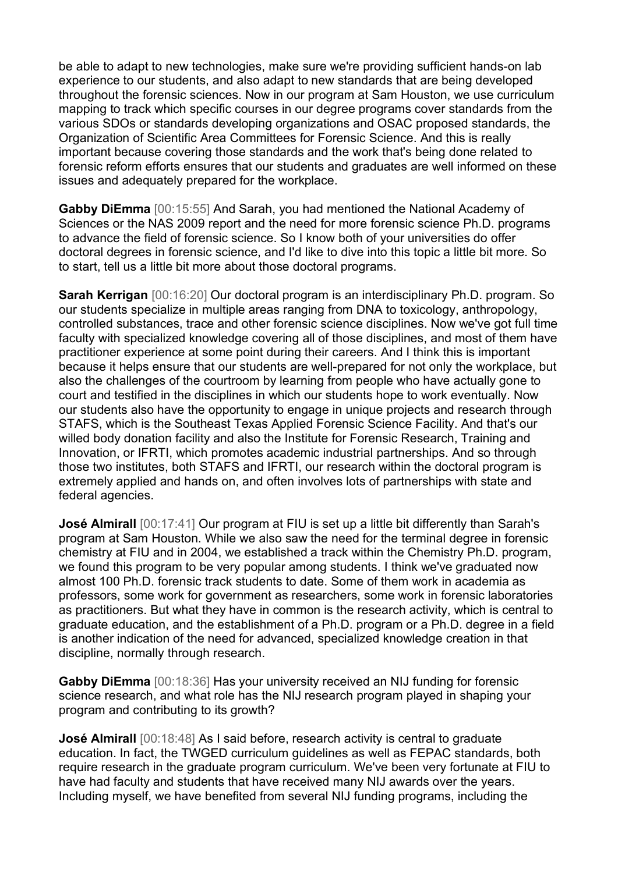be able to adapt to new technologies, make sure we're providing sufficient hands-on lab experience to our students, and also adapt to new standards that are being developed throughout the forensic sciences. Now in our program at Sam Houston, we use curriculum mapping to track which specific courses in our degree programs cover standards from the various SDOs or standards developing organizations and OSAC proposed standards, the Organization of Scientific Area Committees for Forensic Science. And this is really important because covering those standards and the work that's being done related to forensic reform efforts ensures that our students and graduates are well informed on these issues and adequately prepared for the workplace.

**Gabby DiEmma** [00:15:55] And Sarah, you had mentioned the National Academy of Sciences or the NAS 2009 report and the need for more forensic science Ph.D. programs to advance the field of forensic science. So I know both of your universities do offer doctoral degrees in forensic science, and I'd like to dive into this topic a little bit more. So to start, tell us a little bit more about those doctoral programs.

**Sarah Kerrigan** [00:16:20] Our doctoral program is an interdisciplinary Ph.D. program. So our students specialize in multiple areas ranging from DNA to toxicology, anthropology, controlled substances, trace and other forensic science disciplines. Now we've got full time faculty with specialized knowledge covering all of those disciplines, and most of them have practitioner experience at some point during their careers. And I think this is important because it helps ensure that our students are well-prepared for not only the workplace, but also the challenges of the courtroom by learning from people who have actually gone to court and testified in the disciplines in which our students hope to work eventually. Now our students also have the opportunity to engage in unique projects and research through STAFS, which is the Southeast Texas Applied Forensic Science Facility. And that's our willed body donation facility and also the Institute for Forensic Research, Training and Innovation, or IFRTI, which promotes academic industrial partnerships. And so through those two institutes, both STAFS and IFRTI, our research within the doctoral program is extremely applied and hands on, and often involves lots of partnerships with state and federal agencies.

**José Almirall** [00:17:41] Our program at FIU is set up a little bit differently than Sarah's program at Sam Houston. While we also saw the need for the terminal degree in forensic chemistry at FIU and in 2004, we established a track within the Chemistry Ph.D. program, we found this program to be very popular among students. I think we've graduated now almost 100 Ph.D. forensic track students to date. Some of them work in academia as professors, some work for government as researchers, some work in forensic laboratories as practitioners. But what they have in common is the research activity, which is central to graduate education, and the establishment of a Ph.D. program or a Ph.D. degree in a field is another indication of the need for advanced, specialized knowledge creation in that discipline, normally through research.

**Gabby DiEmma** [00:18:36] Has your university received an NIJ funding for forensic science research, and what role has the NIJ research program played in shaping your program and contributing to its growth?

**José Almirall** [00:18:48] As I said before, research activity is central to graduate education. In fact, the TWGED curriculum guidelines as well as FEPAC standards, both require research in the graduate program curriculum. We've been very fortunate at FIU to have had faculty and students that have received many NIJ awards over the years. Including myself, we have benefited from several NIJ funding programs, including the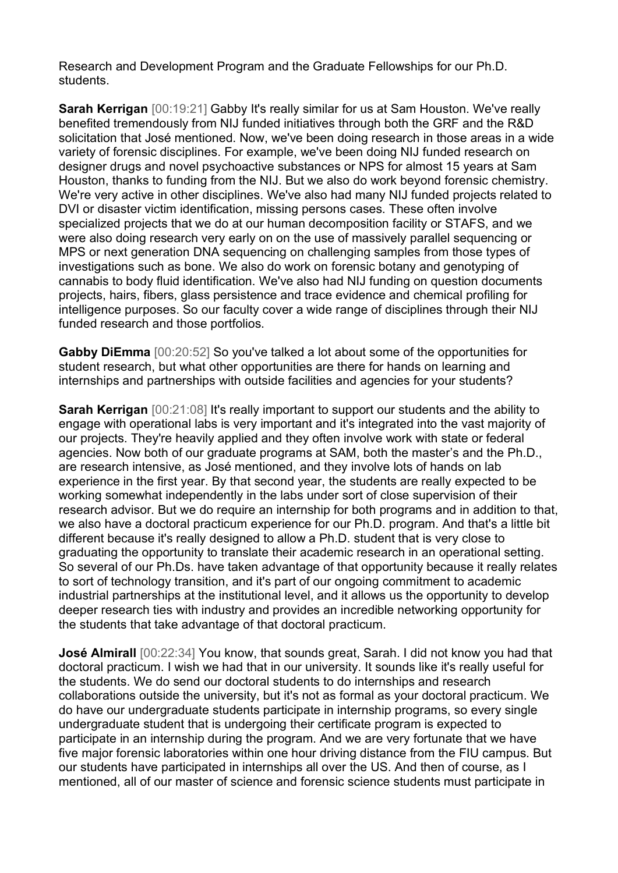Research and Development Program and the Graduate Fellowships for our Ph.D. students.

**Sarah Kerrigan** [00:19:21] Gabby It's really similar for us at Sam Houston. We've really benefited tremendously from NIJ funded initiatives through both the GRF and the R&D solicitation that José mentioned. Now, we've been doing research in those areas in a wide variety of forensic disciplines. For example, we've been doing NIJ funded research on designer drugs and novel psychoactive substances or NPS for almost 15 years at Sam Houston, thanks to funding from the NIJ. But we also do work beyond forensic chemistry. We're very active in other disciplines. We've also had many NIJ funded projects related to DVI or disaster victim identification, missing persons cases. These often involve specialized projects that we do at our human decomposition facility or STAFS, and we were also doing research very early on on the use of massively parallel sequencing or MPS or next generation DNA sequencing on challenging samples from those types of investigations such as bone. We also do work on forensic botany and genotyping of cannabis to body fluid identification. We've also had NIJ funding on question documents projects, hairs, fibers, glass persistence and trace evidence and chemical profiling for intelligence purposes. So our faculty cover a wide range of disciplines through their NIJ funded research and those portfolios.

**Gabby DiEmma** [00:20:52] So you've talked a lot about some of the opportunities for student research, but what other opportunities are there for hands on learning and internships and partnerships with outside facilities and agencies for your students?

**Sarah Kerrigan** [00:21:08] It's really important to support our students and the ability to engage with operational labs is very important and it's integrated into the vast majority of our projects. They're heavily applied and they often involve work with state or federal agencies. Now both of our graduate programs at SAM, both the master's and the Ph.D., are research intensive, as José mentioned, and they involve lots of hands on lab experience in the first year. By that second year, the students are really expected to be working somewhat independently in the labs under sort of close supervision of their research advisor. But we do require an internship for both programs and in addition to that, we also have a doctoral practicum experience for our Ph.D. program. And that's a little bit different because it's really designed to allow a Ph.D. student that is very close to graduating the opportunity to translate their academic research in an operational setting. So several of our Ph.Ds. have taken advantage of that opportunity because it really relates to sort of technology transition, and it's part of our ongoing commitment to academic industrial partnerships at the institutional level, and it allows us the opportunity to develop deeper research ties with industry and provides an incredible networking opportunity for the students that take advantage of that doctoral practicum.

**José Almirall** [00:22:34] You know, that sounds great, Sarah. I did not know you had that doctoral practicum. I wish we had that in our university. It sounds like it's really useful for the students. We do send our doctoral students to do internships and research collaborations outside the university, but it's not as formal as your doctoral practicum. We do have our undergraduate students participate in internship programs, so every single undergraduate student that is undergoing their certificate program is expected to participate in an internship during the program. And we are very fortunate that we have five major forensic laboratories within one hour driving distance from the FIU campus. But our students have participated in internships all over the US. And then of course, as I mentioned, all of our master of science and forensic science students must participate in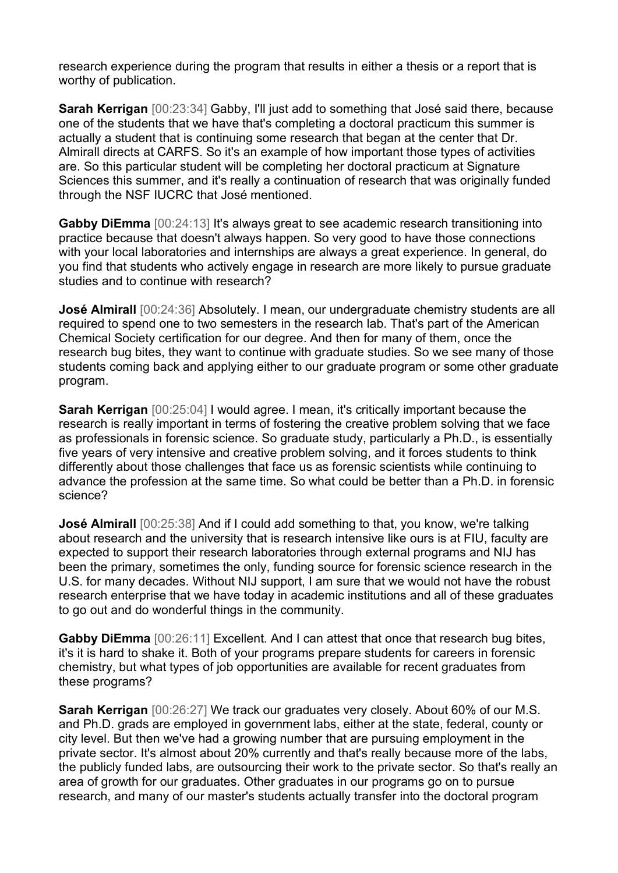research experience during the program that results in either a thesis or a report that is worthy of publication.

**Sarah Kerrigan** [00:23:34] Gabby, I'll just add to something that José said there, because one of the students that we have that's completing a doctoral practicum this summer is actually a student that is continuing some research that began at the center that Dr. Almirall directs at CARFS. So it's an example of how important those types of activities are. So this particular student will be completing her doctoral practicum at Signature Sciences this summer, and it's really a continuation of research that was originally funded through the NSF IUCRC that José mentioned.

**Gabby DiEmma** [00:24:13] It's always great to see academic research transitioning into practice because that doesn't always happen. So very good to have those connections with your local laboratories and internships are always a great experience. In general, do you find that students who actively engage in research are more likely to pursue graduate studies and to continue with research?

**José Almirall** [00:24:36] Absolutely. I mean, our undergraduate chemistry students are all required to spend one to two semesters in the research lab. That's part of the American Chemical Society certification for our degree. And then for many of them, once the research bug bites, they want to continue with graduate studies. So we see many of those students coming back and applying either to our graduate program or some other graduate program.

**Sarah Kerrigan** [00:25:04] I would agree. I mean, it's critically important because the research is really important in terms of fostering the creative problem solving that we face as professionals in forensic science. So graduate study, particularly a Ph.D., is essentially five years of very intensive and creative problem solving, and it forces students to think differently about those challenges that face us as forensic scientists while continuing to advance the profession at the same time. So what could be better than a Ph.D. in forensic science?

**José Almirall** [00:25:38] And if I could add something to that, you know, we're talking about research and the university that is research intensive like ours is at FIU, faculty are expected to support their research laboratories through external programs and NIJ has been the primary, sometimes the only, funding source for forensic science research in the U.S. for many decades. Without NIJ support, I am sure that we would not have the robust research enterprise that we have today in academic institutions and all of these graduates to go out and do wonderful things in the community.

**Gabby DiEmma** [00:26:11] Excellent. And I can attest that once that research bug bites, it's it is hard to shake it. Both of your programs prepare students for careers in forensic chemistry, but what types of job opportunities are available for recent graduates from these programs?

**Sarah Kerrigan** [00:26:27] We track our graduates very closely. About 60% of our M.S. and Ph.D. grads are employed in government labs, either at the state, federal, county or city level. But then we've had a growing number that are pursuing employment in the private sector. It's almost about 20% currently and that's really because more of the labs, the publicly funded labs, are outsourcing their work to the private sector. So that's really an area of growth for our graduates. Other graduates in our programs go on to pursue research, and many of our master's students actually transfer into the doctoral program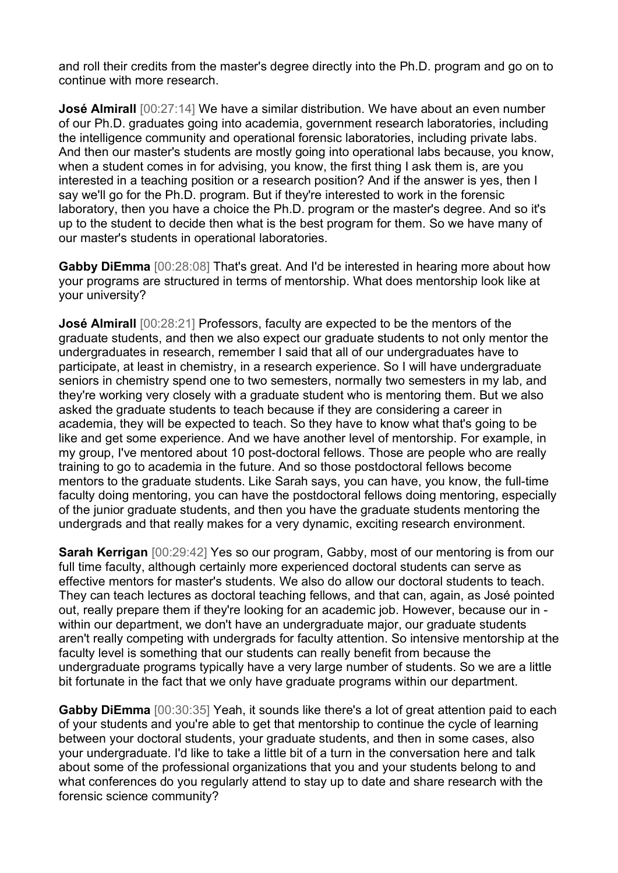and roll their credits from the master's degree directly into the Ph.D. program and go on to continue with more research.

**José Almirall** [00:27:14] We have a similar distribution. We have about an even number of our Ph.D. graduates going into academia, government research laboratories, including the intelligence community and operational forensic laboratories, including private labs. And then our master's students are mostly going into operational labs because, you know, when a student comes in for advising, you know, the first thing I ask them is, are you interested in a teaching position or a research position? And if the answer is yes, then I say we'll go for the Ph.D. program. But if they're interested to work in the forensic laboratory, then you have a choice the Ph.D. program or the master's degree. And so it's up to the student to decide then what is the best program for them. So we have many of our master's students in operational laboratories.

**Gabby DiEmma** [00:28:08] That's great. And I'd be interested in hearing more about how your programs are structured in terms of mentorship. What does mentorship look like at your university?

**José Almirall** [00:28:21] Professors, faculty are expected to be the mentors of the graduate students, and then we also expect our graduate students to not only mentor the undergraduates in research, remember I said that all of our undergraduates have to participate, at least in chemistry, in a research experience. So I will have undergraduate seniors in chemistry spend one to two semesters, normally two semesters in my lab, and they're working very closely with a graduate student who is mentoring them. But we also asked the graduate students to teach because if they are considering a career in academia, they will be expected to teach. So they have to know what that's going to be like and get some experience. And we have another level of mentorship. For example, in my group, I've mentored about 10 post-doctoral fellows. Those are people who are really training to go to academia in the future. And so those postdoctoral fellows become mentors to the graduate students. Like Sarah says, you can have, you know, the full-time faculty doing mentoring, you can have the postdoctoral fellows doing mentoring, especially of the junior graduate students, and then you have the graduate students mentoring the undergrads and that really makes for a very dynamic, exciting research environment.

**Sarah Kerrigan** [00:29:42] Yes so our program, Gabby, most of our mentoring is from our full time faculty, although certainly more experienced doctoral students can serve as effective mentors for master's students. We also do allow our doctoral students to teach. They can teach lectures as doctoral teaching fellows, and that can, again, as José pointed out, really prepare them if they're looking for an academic job. However, because our in within our department, we don't have an undergraduate major, our graduate students aren't really competing with undergrads for faculty attention. So intensive mentorship at the faculty level is something that our students can really benefit from because the undergraduate programs typically have a very large number of students. So we are a little bit fortunate in the fact that we only have graduate programs within our department.

**Gabby DiEmma** [00:30:35] Yeah, it sounds like there's a lot of great attention paid to each of your students and you're able to get that mentorship to continue the cycle of learning between your doctoral students, your graduate students, and then in some cases, also your undergraduate. I'd like to take a little bit of a turn in the conversation here and talk about some of the professional organizations that you and your students belong to and what conferences do you regularly attend to stay up to date and share research with the forensic science community?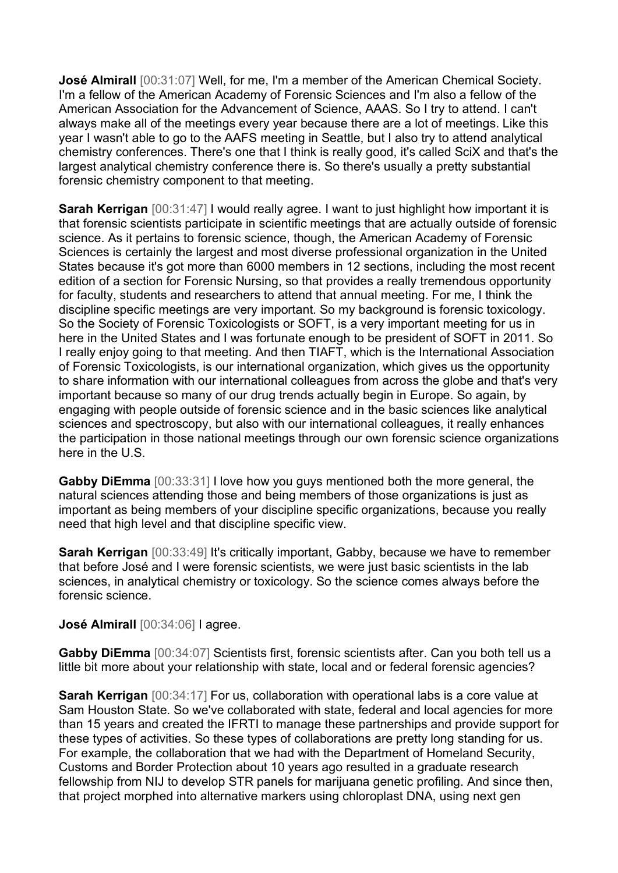**José Almirall** [00:31:07] Well, for me, I'm a member of the American Chemical Society. I'm a fellow of the American Academy of Forensic Sciences and I'm also a fellow of the American Association for the Advancement of Science, AAAS. So I try to attend. I can't always make all of the meetings every year because there are a lot of meetings. Like this year I wasn't able to go to the AAFS meeting in Seattle, but I also try to attend analytical chemistry conferences. There's one that I think is really good, it's called SciX and that's the largest analytical chemistry conference there is. So there's usually a pretty substantial forensic chemistry component to that meeting.

**Sarah Kerrigan** [00:31:47] I would really agree. I want to just highlight how important it is that forensic scientists participate in scientific meetings that are actually outside of forensic science. As it pertains to forensic science, though, the American Academy of Forensic Sciences is certainly the largest and most diverse professional organization in the United States because it's got more than 6000 members in 12 sections, including the most recent edition of a section for Forensic Nursing, so that provides a really tremendous opportunity for faculty, students and researchers to attend that annual meeting. For me, I think the discipline specific meetings are very important. So my background is forensic toxicology. So the Society of Forensic Toxicologists or SOFT, is a very important meeting for us in here in the United States and I was fortunate enough to be president of SOFT in 2011. So I really enjoy going to that meeting. And then TIAFT, which is the International Association of Forensic Toxicologists, is our international organization, which gives us the opportunity to share information with our international colleagues from across the globe and that's very important because so many of our drug trends actually begin in Europe. So again, by engaging with people outside of forensic science and in the basic sciences like analytical sciences and spectroscopy, but also with our international colleagues, it really enhances the participation in those national meetings through our own forensic science organizations here in the U.S.

**Gabby DiEmma** [00:33:31] I love how you guys mentioned both the more general, the natural sciences attending those and being members of those organizations is just as important as being members of your discipline specific organizations, because you really need that high level and that discipline specific view.

**Sarah Kerrigan** [00:33:49] It's critically important, Gabby, because we have to remember that before José and I were forensic scientists, we were just basic scientists in the lab sciences, in analytical chemistry or toxicology. So the science comes always before the forensic science.

**José Almirall** [00:34:06] I agree.

**Gabby DiEmma** [00:34:07] Scientists first, forensic scientists after. Can you both tell us a little bit more about your relationship with state, local and or federal forensic agencies?

**Sarah Kerrigan** [00:34:17] For us, collaboration with operational labs is a core value at Sam Houston State. So we've collaborated with state, federal and local agencies for more than 15 years and created the IFRTI to manage these partnerships and provide support for these types of activities. So these types of collaborations are pretty long standing for us. For example, the collaboration that we had with the Department of Homeland Security, Customs and Border Protection about 10 years ago resulted in a graduate research fellowship from NIJ to develop STR panels for marijuana genetic profiling. And since then, that project morphed into alternative markers using chloroplast DNA, using next gen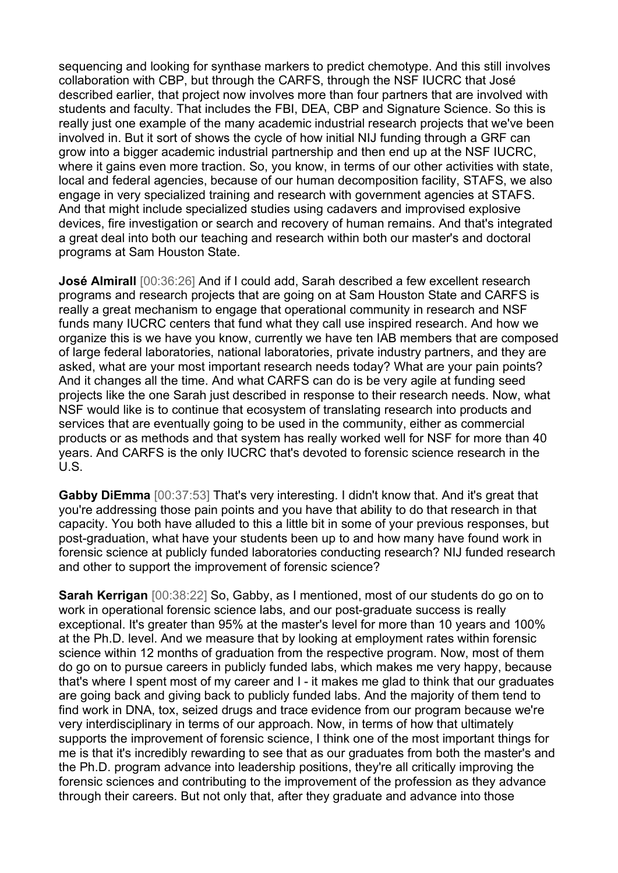sequencing and looking for synthase markers to predict chemotype. And this still involves collaboration with CBP, but through the CARFS, through the NSF IUCRC that José described earlier, that project now involves more than four partners that are involved with students and faculty. That includes the FBI, DEA, CBP and Signature Science. So this is really just one example of the many academic industrial research projects that we've been involved in. But it sort of shows the cycle of how initial NIJ funding through a GRF can grow into a bigger academic industrial partnership and then end up at the NSF IUCRC, where it gains even more traction. So, you know, in terms of our other activities with state, local and federal agencies, because of our human decomposition facility, STAFS, we also engage in very specialized training and research with government agencies at STAFS. And that might include specialized studies using cadavers and improvised explosive devices, fire investigation or search and recovery of human remains. And that's integrated a great deal into both our teaching and research within both our master's and doctoral programs at Sam Houston State.

**José Almirall** [00:36:26] And if I could add, Sarah described a few excellent research programs and research projects that are going on at Sam Houston State and CARFS is really a great mechanism to engage that operational community in research and NSF funds many IUCRC centers that fund what they call use inspired research. And how we organize this is we have you know, currently we have ten IAB members that are composed of large federal laboratories, national laboratories, private industry partners, and they are asked, what are your most important research needs today? What are your pain points? And it changes all the time. And what CARFS can do is be very agile at funding seed projects like the one Sarah just described in response to their research needs. Now, what NSF would like is to continue that ecosystem of translating research into products and services that are eventually going to be used in the community, either as commercial products or as methods and that system has really worked well for NSF for more than 40 years. And CARFS is the only IUCRC that's devoted to forensic science research in the U.S.

**Gabby DiEmma** [00:37:53] That's very interesting. I didn't know that. And it's great that you're addressing those pain points and you have that ability to do that research in that capacity. You both have alluded to this a little bit in some of your previous responses, but post-graduation, what have your students been up to and how many have found work in forensic science at publicly funded laboratories conducting research? NIJ funded research and other to support the improvement of forensic science?

**Sarah Kerrigan** [00:38:22] So, Gabby, as I mentioned, most of our students do go on to work in operational forensic science labs, and our post-graduate success is really exceptional. It's greater than 95% at the master's level for more than 10 years and 100% at the Ph.D. level. And we measure that by looking at employment rates within forensic science within 12 months of graduation from the respective program. Now, most of them do go on to pursue careers in publicly funded labs, which makes me very happy, because that's where I spent most of my career and I - it makes me glad to think that our graduates are going back and giving back to publicly funded labs. And the majority of them tend to find work in DNA, tox, seized drugs and trace evidence from our program because we're very interdisciplinary in terms of our approach. Now, in terms of how that ultimately supports the improvement of forensic science, I think one of the most important things for me is that it's incredibly rewarding to see that as our graduates from both the master's and the Ph.D. program advance into leadership positions, they're all critically improving the forensic sciences and contributing to the improvement of the profession as they advance through their careers. But not only that, after they graduate and advance into those